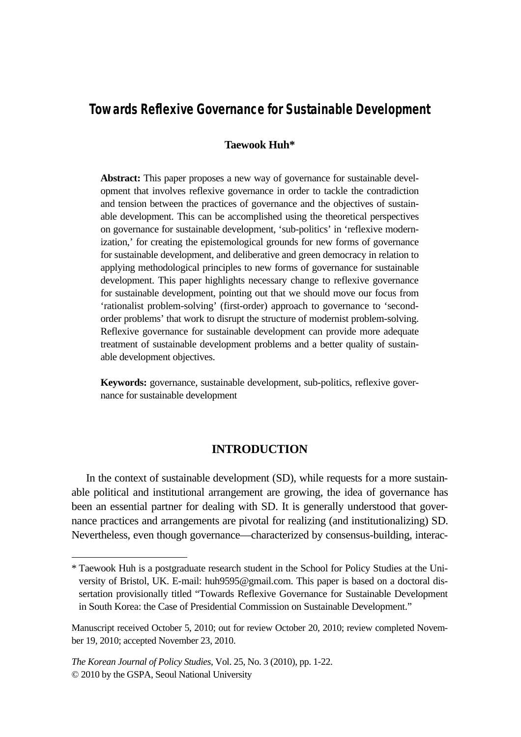# **Towards Reflexive Governance for Sustainable Development**

### **Taewook Huh\***

**Abstract:** This paper proposes a new way of governance for sustainable development that involves reflexive governance in order to tackle the contradiction and tension between the practices of governance and the objectives of sustainable development. This can be accomplished using the theoretical perspectives on governance for sustainable development, 'sub-politics' in 'reflexive modernization,' for creating the epistemological grounds for new forms of governance for sustainable development, and deliberative and green democracy in relation to applying methodological principles to new forms of governance for sustainable development. This paper highlights necessary change to reflexive governance for sustainable development, pointing out that we should move our focus from 'rationalist problem-solving' (first-order) approach to governance to 'secondorder problems' that work to disrupt the structure of modernist problem-solving. Reflexive governance for sustainable development can provide more adequate treatment of sustainable development problems and a better quality of sustainable development objectives.

**Keywords:** governance, sustainable development, sub-politics, reflexive governance for sustainable development

## **INTRODUCTION**

In the context of sustainable development (SD), while requests for a more sustainable political and institutional arrangement are growing, the idea of governance has been an essential partner for dealing with SD. It is generally understood that governance practices and arrangements are pivotal for realizing (and institutionalizing) SD. Nevertheless, even though governance—characterized by consensus-building, interac-

<sup>\*</sup> Taewook Huh is a postgraduate research student in the School for Policy Studies at the University of Bristol, UK. E-mail: huh9595@gmail.com. This paper is based on a doctoral dissertation provisionally titled "Towards Reflexive Governance for Sustainable Development in South Korea: the Case of Presidential Commission on Sustainable Development."

Manuscript received October 5, 2010; out for review October 20, 2010; review completed November 19, 2010; accepted November 23, 2010.

*The Korean Journal of Policy Studies*, Vol. 25, No. 3 (2010), pp. 1-22. © 2010 by the GSPA, Seoul National University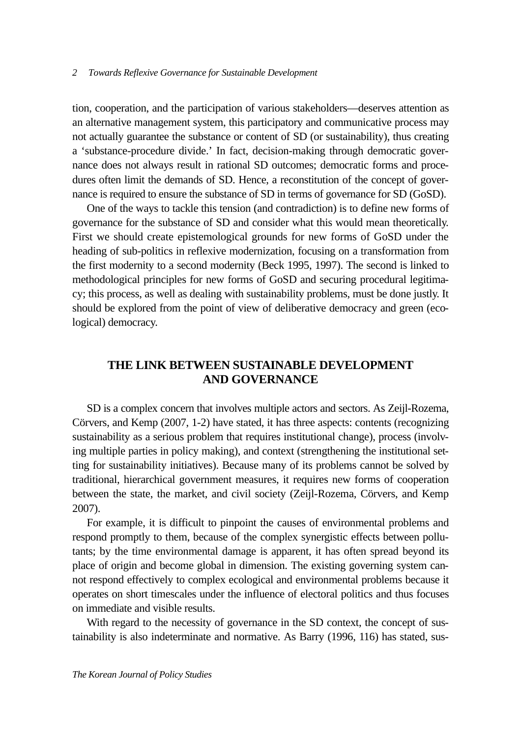tion, cooperation, and the participation of various stakeholders—deserves attention as an alternative management system, this participatory and communicative process may not actually guarantee the substance or content of SD (or sustainability), thus creating a 'substance-procedure divide.' In fact, decision-making through democratic governance does not always result in rational SD outcomes; democratic forms and procedures often limit the demands of SD. Hence, a reconstitution of the concept of governance is required to ensure the substance of SD in terms of governance for SD (GoSD).

One of the ways to tackle this tension (and contradiction) is to define new forms of governance for the substance of SD and consider what this would mean theoretically. First we should create epistemological grounds for new forms of GoSD under the heading of sub-politics in reflexive modernization, focusing on a transformation from the first modernity to a second modernity (Beck 1995, 1997). The second is linked to methodological principles for new forms of GoSD and securing procedural legitimacy; this process, as well as dealing with sustainability problems, must be done justly. It should be explored from the point of view of deliberative democracy and green (ecological) democracy.

## **THE LINK BETWEEN SUSTAINABLE DEVELOPMENT AND GOVERNANCE**

SD is a complex concern that involves multiple actors and sectors. As Zeijl-Rozema, Cörvers, and Kemp (2007, 1-2) have stated, it has three aspects: contents (recognizing sustainability as a serious problem that requires institutional change), process (involving multiple parties in policy making), and context (strengthening the institutional setting for sustainability initiatives). Because many of its problems cannot be solved by traditional, hierarchical government measures, it requires new forms of cooperation between the state, the market, and civil society (Zeijl-Rozema, Cörvers, and Kemp 2007).

For example, it is difficult to pinpoint the causes of environmental problems and respond promptly to them, because of the complex synergistic effects between pollutants; by the time environmental damage is apparent, it has often spread beyond its place of origin and become global in dimension. The existing governing system cannot respond effectively to complex ecological and environmental problems because it operates on short timescales under the influence of electoral politics and thus focuses on immediate and visible results.

With regard to the necessity of governance in the SD context, the concept of sustainability is also indeterminate and normative. As Barry (1996, 116) has stated, sus-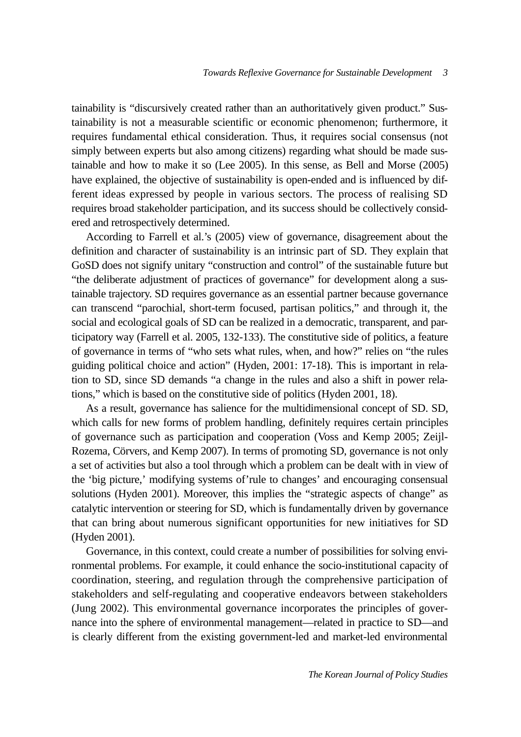tainability is "discursively created rather than an authoritatively given product." Sustainability is not a measurable scientific or economic phenomenon; furthermore, it requires fundamental ethical consideration. Thus, it requires social consensus (not simply between experts but also among citizens) regarding what should be made sustainable and how to make it so (Lee 2005). In this sense, as Bell and Morse (2005) have explained, the objective of sustainability is open-ended and is influenced by different ideas expressed by people in various sectors. The process of realising SD requires broad stakeholder participation, and its success should be collectively considered and retrospectively determined.

According to Farrell et al.'s (2005) view of governance, disagreement about the definition and character of sustainability is an intrinsic part of SD. They explain that GoSD does not signify unitary "construction and control" of the sustainable future but "the deliberate adjustment of practices of governance" for development along a sustainable trajectory. SD requires governance as an essential partner because governance can transcend "parochial, short-term focused, partisan politics," and through it, the social and ecological goals of SD can be realized in a democratic, transparent, and participatory way (Farrell et al. 2005, 132-133). The constitutive side of politics, a feature of governance in terms of "who sets what rules, when, and how?" relies on "the rules guiding political choice and action" (Hyden, 2001: 17-18). This is important in relation to SD, since SD demands "a change in the rules and also a shift in power relations," which is based on the constitutive side of politics (Hyden 2001, 18).

As a result, governance has salience for the multidimensional concept of SD. SD, which calls for new forms of problem handling, definitely requires certain principles of governance such as participation and cooperation (Voss and Kemp 2005; Zeijl-Rozema, Cörvers, and Kemp 2007). In terms of promoting SD, governance is not only a set of activities but also a tool through which a problem can be dealt with in view of the 'big picture,' modifying systems of'rule to changes' and encouraging consensual solutions (Hyden 2001). Moreover, this implies the "strategic aspects of change" as catalytic intervention or steering for SD, which is fundamentally driven by governance that can bring about numerous significant opportunities for new initiatives for SD (Hyden 2001).

Governance, in this context, could create a number of possibilities for solving environmental problems. For example, it could enhance the socio-institutional capacity of coordination, steering, and regulation through the comprehensive participation of stakeholders and self-regulating and cooperative endeavors between stakeholders (Jung 2002). This environmental governance incorporates the principles of governance into the sphere of environmental management—related in practice to SD—and is clearly different from the existing government-led and market-led environmental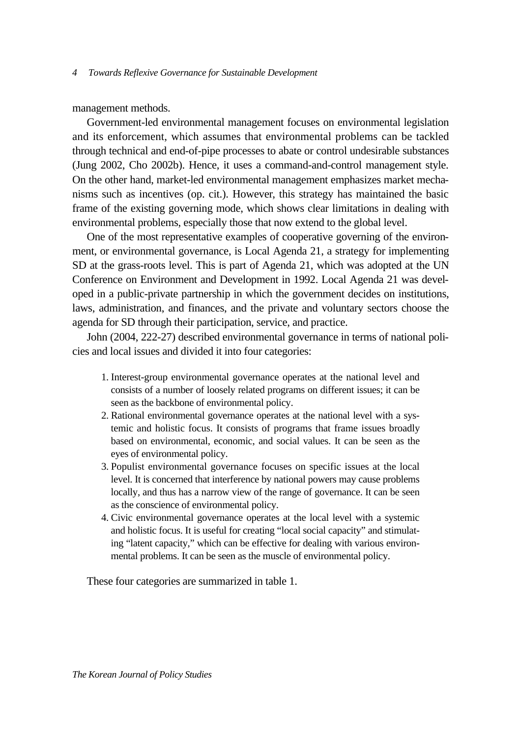management methods.

Government-led environmental management focuses on environmental legislation and its enforcement, which assumes that environmental problems can be tackled through technical and end-of-pipe processes to abate or control undesirable substances (Jung 2002, Cho 2002b). Hence, it uses a command-and-control management style. On the other hand, market-led environmental management emphasizes market mechanisms such as incentives (op. cit.). However, this strategy has maintained the basic frame of the existing governing mode, which shows clear limitations in dealing with environmental problems, especially those that now extend to the global level.

One of the most representative examples of cooperative governing of the environment, or environmental governance, is Local Agenda 21, a strategy for implementing SD at the grass-roots level. This is part of Agenda 21, which was adopted at the UN Conference on Environment and Development in 1992. Local Agenda 21 was developed in a public-private partnership in which the government decides on institutions, laws, administration, and finances, and the private and voluntary sectors choose the agenda for SD through their participation, service, and practice.

John (2004, 222-27) described environmental governance in terms of national policies and local issues and divided it into four categories:

- 1. Interest-group environmental governance operates at the national level and consists of a number of loosely related programs on different issues; it can be seen as the backbone of environmental policy.
- 2. Rational environmental governance operates at the national level with a systemic and holistic focus. It consists of programs that frame issues broadly based on environmental, economic, and social values. It can be seen as the eyes of environmental policy.
- 3. Populist environmental governance focuses on specific issues at the local level. It is concerned that interference by national powers may cause problems locally, and thus has a narrow view of the range of governance. It can be seen as the conscience of environmental policy.
- 4. Civic environmental governance operates at the local level with a systemic and holistic focus. It is useful for creating "local social capacity" and stimulating "latent capacity," which can be effective for dealing with various environmental problems. It can be seen as the muscle of environmental policy.

These four categories are summarized in table 1.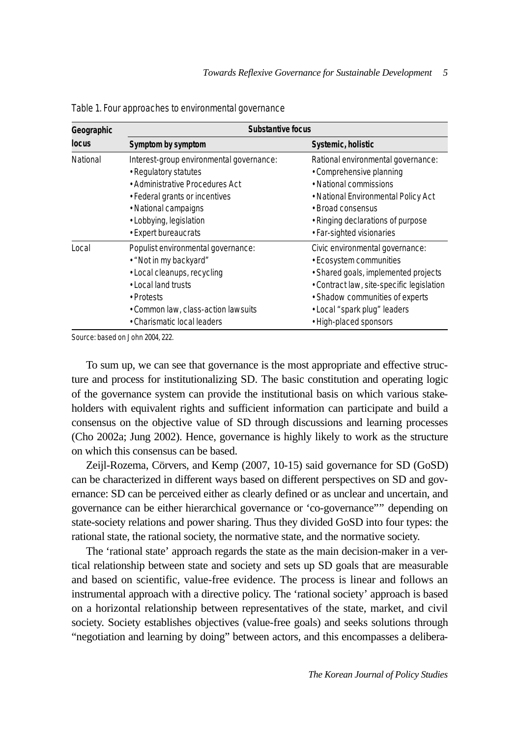| Geographic<br><b>locus</b> | Substantive focus                                                                                                                                                                                      |                                                                                                                                                                                                                                              |
|----------------------------|--------------------------------------------------------------------------------------------------------------------------------------------------------------------------------------------------------|----------------------------------------------------------------------------------------------------------------------------------------------------------------------------------------------------------------------------------------------|
|                            | Symptom by symptom                                                                                                                                                                                     | Systemic, holistic                                                                                                                                                                                                                           |
| National                   | Interest-group environmental governance:<br>• Regulatory statutes<br>• Administrative Procedures Act<br>• Federal grants or incentives<br>• National campaigns<br>• Lobbying, legislation              | Rational environmental governance:<br>• Comprehensive planning<br>• National commissions<br>• National Environmental Policy Act<br>• Broad consensus<br>• Ringing declarations of purpose                                                    |
|                            | • Expert bureaucrats                                                                                                                                                                                   | · Far-sighted visionaries                                                                                                                                                                                                                    |
| Local                      | Populist environmental governance:<br>• "Not in my backyard"<br>• Local cleanups, recycling<br>• Local land trusts<br>• Protests<br>• Common law, class-action lawsuits<br>• Charismatic local leaders | Civic environmental governance:<br>• Ecosystem communities<br>· Shared goals, implemented projects<br>• Contract law, site-specific legislation<br>• Shadow communities of experts<br>• Local "spark plug" leaders<br>• High-placed sponsors |

Table 1. Four approaches to environmental governance

Source: based on John 2004, 222.

To sum up, we can see that governance is the most appropriate and effective structure and process for institutionalizing SD. The basic constitution and operating logic of the governance system can provide the institutional basis on which various stakeholders with equivalent rights and sufficient information can participate and build a consensus on the objective value of SD through discussions and learning processes (Cho 2002a; Jung 2002). Hence, governance is highly likely to work as the structure on which this consensus can be based.

Zeijl-Rozema, Cörvers, and Kemp (2007, 10-15) said governance for SD (GoSD) can be characterized in different ways based on different perspectives on SD and governance: SD can be perceived either as clearly defined or as unclear and uncertain, and governance can be either hierarchical governance or 'co-governance"'' depending on state-society relations and power sharing. Thus they divided GoSD into four types: the rational state, the rational society, the normative state, and the normative society.

The 'rational state' approach regards the state as the main decision-maker in a vertical relationship between state and society and sets up SD goals that are measurable and based on scientific, value-free evidence. The process is linear and follows an instrumental approach with a directive policy. The 'rational society' approach is based on a horizontal relationship between representatives of the state, market, and civil society. Society establishes objectives (value-free goals) and seeks solutions through "negotiation and learning by doing" between actors, and this encompasses a delibera-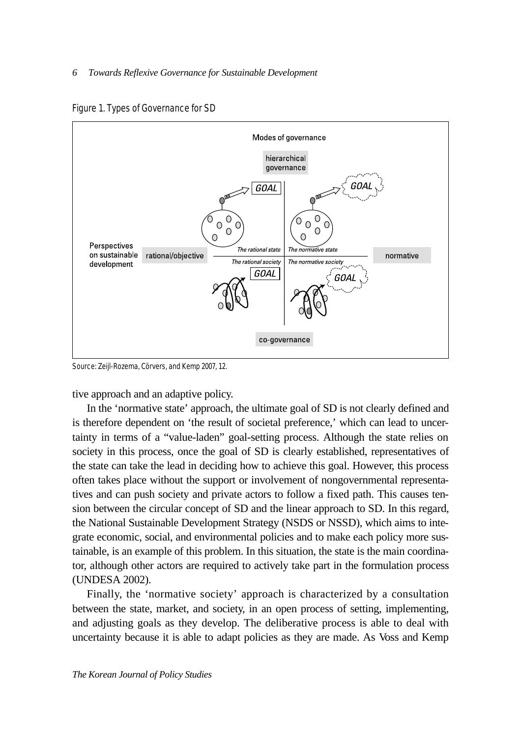



Source: Zeijl-Rozema, Cörvers, and Kemp 2007, 12.

tive approach and an adaptive policy.

In the 'normative state' approach, the ultimate goal of SD is not clearly defined and is therefore dependent on 'the result of societal preference,' which can lead to uncertainty in terms of a "value-laden" goal-setting process. Although the state relies on society in this process, once the goal of SD is clearly established, representatives of the state can take the lead in deciding how to achieve this goal. However, this process often takes place without the support or involvement of nongovernmental representatives and can push society and private actors to follow a fixed path. This causes tension between the circular concept of SD and the linear approach to SD. In this regard, the National Sustainable Development Strategy (NSDS or NSSD), which aims to integrate economic, social, and environmental policies and to make each policy more sustainable, is an example of this problem. In this situation, the state is the main coordinator, although other actors are required to actively take part in the formulation process (UNDESA 2002).

Finally, the 'normative society' approach is characterized by a consultation between the state, market, and society, in an open process of setting, implementing, and adjusting goals as they develop. The deliberative process is able to deal with uncertainty because it is able to adapt policies as they are made. As Voss and Kemp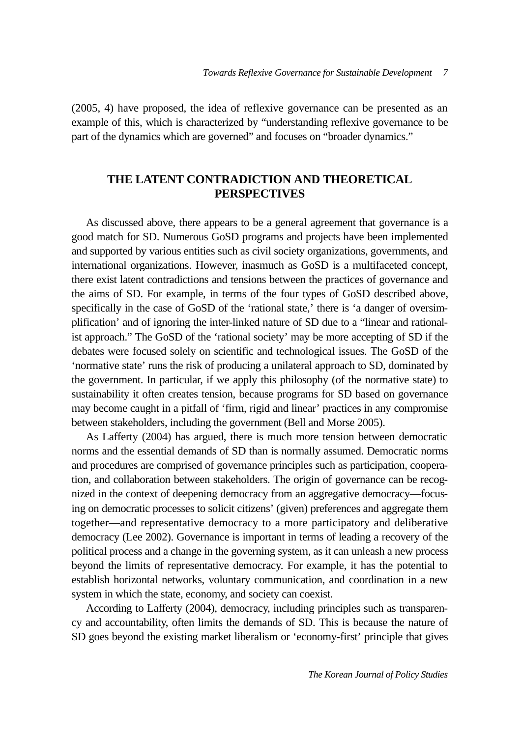(2005, 4) have proposed, the idea of reflexive governance can be presented as an example of this, which is characterized by "understanding reflexive governance to be part of the dynamics which are governed" and focuses on "broader dynamics."

## **THE LATENT CONTRADICTION AND THEORETICAL PERSPECTIVES**

As discussed above, there appears to be a general agreement that governance is a good match for SD. Numerous GoSD programs and projects have been implemented and supported by various entities such as civil society organizations, governments, and international organizations. However, inasmuch as GoSD is a multifaceted concept, there exist latent contradictions and tensions between the practices of governance and the aims of SD. For example, in terms of the four types of GoSD described above, specifically in the case of GoSD of the 'rational state,' there is 'a danger of oversimplification' and of ignoring the inter-linked nature of SD due to a "linear and rationalist approach." The GoSD of the 'rational society' may be more accepting of SD if the debates were focused solely on scientific and technological issues. The GoSD of the 'normative state' runs the risk of producing a unilateral approach to SD, dominated by the government. In particular, if we apply this philosophy (of the normative state) to sustainability it often creates tension, because programs for SD based on governance may become caught in a pitfall of 'firm, rigid and linear' practices in any compromise between stakeholders, including the government (Bell and Morse 2005).

As Lafferty (2004) has argued, there is much more tension between democratic norms and the essential demands of SD than is normally assumed. Democratic norms and procedures are comprised of governance principles such as participation, cooperation, and collaboration between stakeholders. The origin of governance can be recognized in the context of deepening democracy from an aggregative democracy—focusing on democratic processes to solicit citizens' (given) preferences and aggregate them together—and representative democracy to a more participatory and deliberative democracy (Lee 2002). Governance is important in terms of leading a recovery of the political process and a change in the governing system, as it can unleash a new process beyond the limits of representative democracy. For example, it has the potential to establish horizontal networks, voluntary communication, and coordination in a new system in which the state, economy, and society can coexist.

According to Lafferty (2004), democracy, including principles such as transparency and accountability, often limits the demands of SD. This is because the nature of SD goes beyond the existing market liberalism or 'economy-first' principle that gives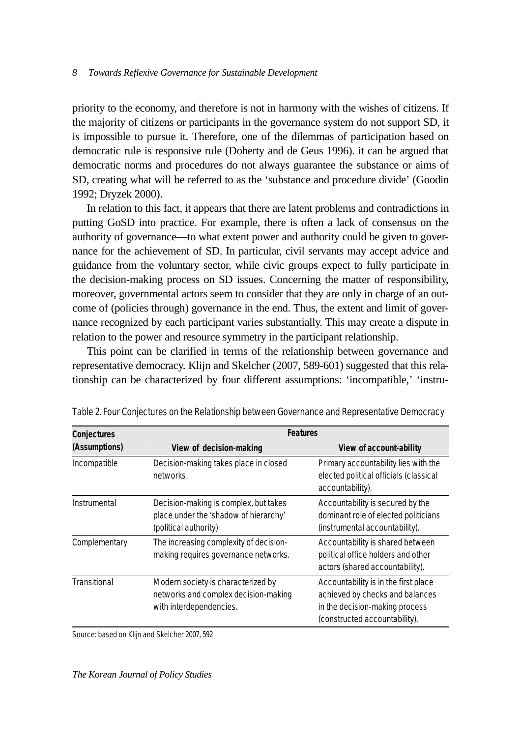priority to the economy, and therefore is not in harmony with the wishes of citizens. If the majority of citizens or participants in the governance system do not support SD, it is impossible to pursue it. Therefore, one of the dilemmas of participation based on democratic rule is responsive rule (Doherty and de Geus 1996). it can be argued that democratic norms and procedures do not always guarantee the substance or aims of SD, creating what will be referred to as the 'substance and procedure divide' (Goodin 1992; Dryzek 2000).

In relation to this fact, it appears that there are latent problems and contradictions in putting GoSD into practice. For example, there is often a lack of consensus on the authority of governance—to what extent power and authority could be given to governance for the achievement of SD. In particular, civil servants may accept advice and guidance from the voluntary sector, while civic groups expect to fully participate in the decision-making process on SD issues. Concerning the matter of responsibility, moreover, governmental actors seem to consider that they are only in charge of an outcome of (policies through) governance in the end. Thus, the extent and limit of governance recognized by each participant varies substantially. This may create a dispute in relation to the power and resource symmetry in the participant relationship.

This point can be clarified in terms of the relationship between governance and representative democracy. Klijn and Skelcher (2007, 589-601) suggested that this relationship can be characterized by four different assumptions: 'incompatible,' 'instru-

| Conjectures   | <b>Features</b>                                                                                         |                                                                                                                                            |  |
|---------------|---------------------------------------------------------------------------------------------------------|--------------------------------------------------------------------------------------------------------------------------------------------|--|
| (Assumptions) | View of decision-making                                                                                 | View of account-ability                                                                                                                    |  |
| Incompatible  | Decision-making takes place in closed<br>networks.                                                      | Primary accountability lies with the<br>elected political officials (classical<br>accountability).                                         |  |
| Instrumental  | Decision-making is complex, but takes<br>place under the 'shadow of hierarchy'<br>(political authority) | Accountability is secured by the<br>dominant role of elected politicians<br>(instrumental accountability).                                 |  |
| Complementary | The increasing complexity of decision-<br>making requires governance networks.                          | Accountability is shared between<br>political office holders and other<br>actors (shared accountability).                                  |  |
| Transitional  | Modern society is characterized by<br>networks and complex decision-making<br>with interdependencies.   | Accountability is in the first place<br>achieved by checks and balances<br>in the decision-making process<br>(constructed accountability). |  |

Table 2. Four Conjectures on the Relationship between Governance and Representative Democracy

Source: based on Klijn and Skelcher 2007, 592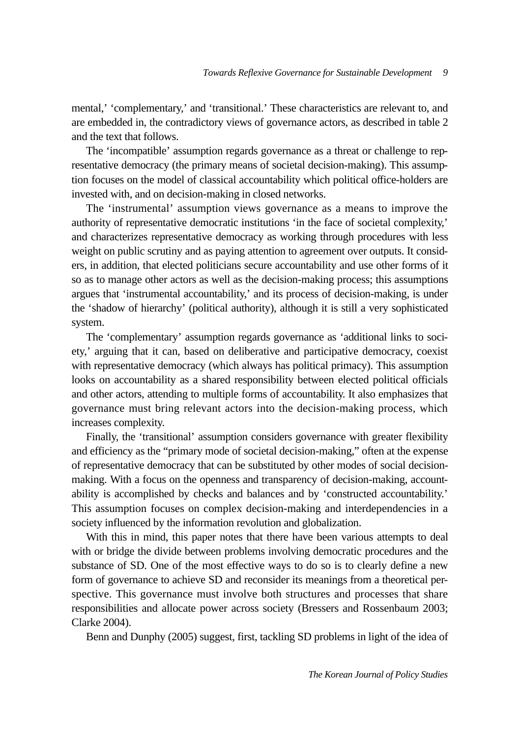mental,' 'complementary,' and 'transitional.' These characteristics are relevant to, and are embedded in, the contradictory views of governance actors, as described in table 2 and the text that follows.

The 'incompatible' assumption regards governance as a threat or challenge to representative democracy (the primary means of societal decision-making). This assumption focuses on the model of classical accountability which political office-holders are invested with, and on decision-making in closed networks.

The 'instrumental' assumption views governance as a means to improve the authority of representative democratic institutions 'in the face of societal complexity,' and characterizes representative democracy as working through procedures with less weight on public scrutiny and as paying attention to agreement over outputs. It considers, in addition, that elected politicians secure accountability and use other forms of it so as to manage other actors as well as the decision-making process; this assumptions argues that 'instrumental accountability,' and its process of decision-making, is under the 'shadow of hierarchy' (political authority), although it is still a very sophisticated system.

The 'complementary' assumption regards governance as 'additional links to society,' arguing that it can, based on deliberative and participative democracy, coexist with representative democracy (which always has political primacy). This assumption looks on accountability as a shared responsibility between elected political officials and other actors, attending to multiple forms of accountability. It also emphasizes that governance must bring relevant actors into the decision-making process, which increases complexity.

Finally, the 'transitional' assumption considers governance with greater flexibility and efficiency as the "primary mode of societal decision-making," often at the expense of representative democracy that can be substituted by other modes of social decisionmaking. With a focus on the openness and transparency of decision-making, accountability is accomplished by checks and balances and by 'constructed accountability.' This assumption focuses on complex decision-making and interdependencies in a society influenced by the information revolution and globalization.

With this in mind, this paper notes that there have been various attempts to deal with or bridge the divide between problems involving democratic procedures and the substance of SD. One of the most effective ways to do so is to clearly define a new form of governance to achieve SD and reconsider its meanings from a theoretical perspective. This governance must involve both structures and processes that share responsibilities and allocate power across society (Bressers and Rossenbaum 2003; Clarke 2004).

Benn and Dunphy (2005) suggest, first, tackling SD problems in light of the idea of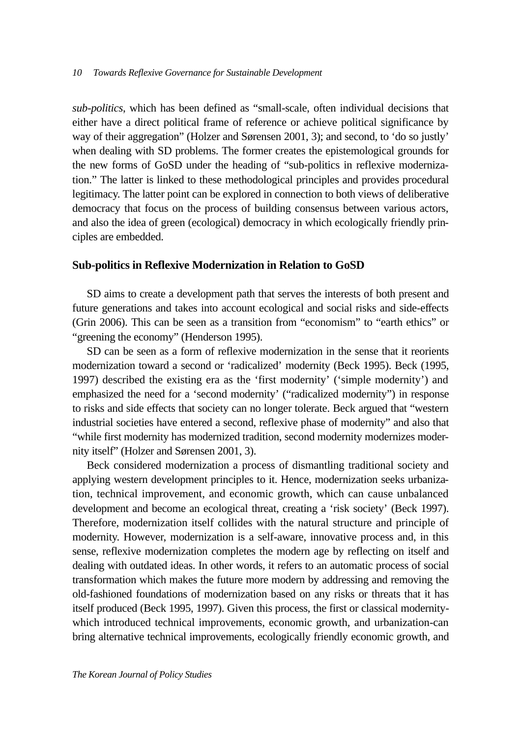*sub-politics*, which has been defined as "small-scale, often individual decisions that either have a direct political frame of reference or achieve political significance by way of their aggregation" (Holzer and Sørensen 2001, 3); and second, to 'do so justly' when dealing with SD problems. The former creates the epistemological grounds for the new forms of GoSD under the heading of "sub-politics in reflexive modernization." The latter is linked to these methodological principles and provides procedural legitimacy. The latter point can be explored in connection to both views of deliberative democracy that focus on the process of building consensus between various actors, and also the idea of green (ecological) democracy in which ecologically friendly principles are embedded.

### **Sub-politics in Reflexive Modernization in Relation to GoSD**

SD aims to create a development path that serves the interests of both present and future generations and takes into account ecological and social risks and side-effects (Grin 2006). This can be seen as a transition from "economism" to "earth ethics" or "greening the economy" (Henderson 1995).

SD can be seen as a form of reflexive modernization in the sense that it reorients modernization toward a second or 'radicalized' modernity (Beck 1995). Beck (1995, 1997) described the existing era as the 'first modernity' ('simple modernity') and emphasized the need for a 'second modernity' ("radicalized modernity") in response to risks and side effects that society can no longer tolerate. Beck argued that "western industrial societies have entered a second, reflexive phase of modernity" and also that "while first modernity has modernized tradition, second modernity modernizes modernity itself" (Holzer and Sørensen 2001, 3).

Beck considered modernization a process of dismantling traditional society and applying western development principles to it. Hence, modernization seeks urbanization, technical improvement, and economic growth, which can cause unbalanced development and become an ecological threat, creating a 'risk society' (Beck 1997). Therefore, modernization itself collides with the natural structure and principle of modernity. However, modernization is a self-aware, innovative process and, in this sense, reflexive modernization completes the modern age by reflecting on itself and dealing with outdated ideas. In other words, it refers to an automatic process of social transformation which makes the future more modern by addressing and removing the old-fashioned foundations of modernization based on any risks or threats that it has itself produced (Beck 1995, 1997). Given this process, the first or classical modernitywhich introduced technical improvements, economic growth, and urbanization-can bring alternative technical improvements, ecologically friendly economic growth, and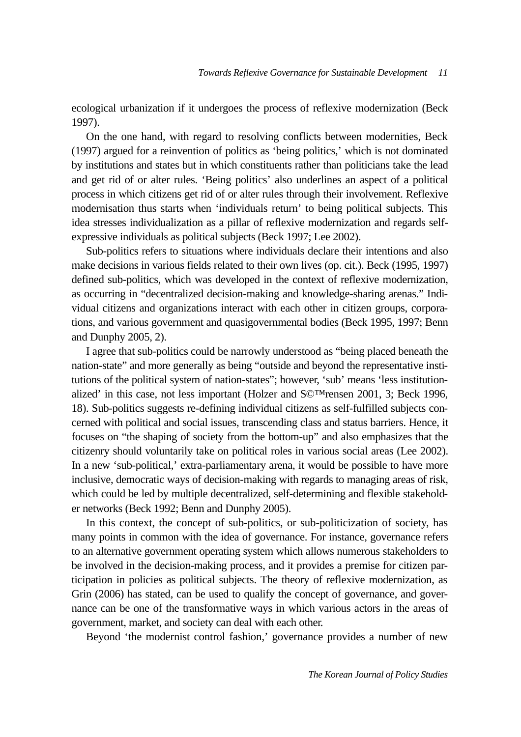ecological urbanization if it undergoes the process of reflexive modernization (Beck 1997).

On the one hand, with regard to resolving conflicts between modernities, Beck (1997) argued for a reinvention of politics as 'being politics,' which is not dominated by institutions and states but in which constituents rather than politicians take the lead and get rid of or alter rules. 'Being politics' also underlines an aspect of a political process in which citizens get rid of or alter rules through their involvement. Reflexive modernisation thus starts when 'individuals return' to being political subjects. This idea stresses individualization as a pillar of reflexive modernization and regards selfexpressive individuals as political subjects (Beck 1997; Lee 2002).

Sub-politics refers to situations where individuals declare their intentions and also make decisions in various fields related to their own lives (op. cit.). Beck (1995, 1997) defined sub-politics, which was developed in the context of reflexive modernization, as occurring in "decentralized decision-making and knowledge-sharing arenas." Individual citizens and organizations interact with each other in citizen groups, corporations, and various government and quasigovernmental bodies (Beck 1995, 1997; Benn and Dunphy 2005, 2).

I agree that sub-politics could be narrowly understood as "being placed beneath the nation-state" and more generally as being "outside and beyond the representative institutions of the political system of nation-states"; however, 'sub' means 'less institutionalized' in this case, not less important (Holzer and S©™rensen 2001, 3; Beck 1996, 18). Sub-politics suggests re-defining individual citizens as self-fulfilled subjects concerned with political and social issues, transcending class and status barriers. Hence, it focuses on "the shaping of society from the bottom-up" and also emphasizes that the citizenry should voluntarily take on political roles in various social areas (Lee 2002). In a new 'sub-political,' extra-parliamentary arena, it would be possible to have more inclusive, democratic ways of decision-making with regards to managing areas of risk, which could be led by multiple decentralized, self-determining and flexible stakeholder networks (Beck 1992; Benn and Dunphy 2005).

In this context, the concept of sub-politics, or sub-politicization of society, has many points in common with the idea of governance. For instance, governance refers to an alternative government operating system which allows numerous stakeholders to be involved in the decision-making process, and it provides a premise for citizen participation in policies as political subjects. The theory of reflexive modernization, as Grin (2006) has stated, can be used to qualify the concept of governance, and governance can be one of the transformative ways in which various actors in the areas of government, market, and society can deal with each other.

Beyond 'the modernist control fashion,' governance provides a number of new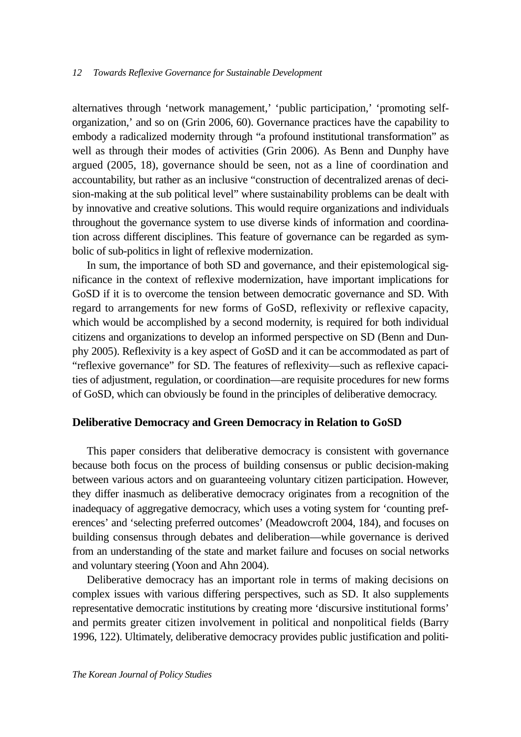alternatives through 'network management,' 'public participation,' 'promoting selforganization,' and so on (Grin 2006, 60). Governance practices have the capability to embody a radicalized modernity through "a profound institutional transformation" as well as through their modes of activities (Grin 2006). As Benn and Dunphy have argued (2005, 18), governance should be seen, not as a line of coordination and accountability, but rather as an inclusive "construction of decentralized arenas of decision-making at the sub political level" where sustainability problems can be dealt with by innovative and creative solutions. This would require organizations and individuals throughout the governance system to use diverse kinds of information and coordination across different disciplines. This feature of governance can be regarded as symbolic of sub-politics in light of reflexive modernization.

In sum, the importance of both SD and governance, and their epistemological significance in the context of reflexive modernization, have important implications for GoSD if it is to overcome the tension between democratic governance and SD. With regard to arrangements for new forms of GoSD, reflexivity or reflexive capacity, which would be accomplished by a second modernity, is required for both individual citizens and organizations to develop an informed perspective on SD (Benn and Dunphy 2005). Reflexivity is a key aspect of GoSD and it can be accommodated as part of "reflexive governance" for SD. The features of reflexivity—such as reflexive capacities of adjustment, regulation, or coordination—are requisite procedures for new forms of GoSD, which can obviously be found in the principles of deliberative democracy.

#### **Deliberative Democracy and Green Democracy in Relation to GoSD**

This paper considers that deliberative democracy is consistent with governance because both focus on the process of building consensus or public decision-making between various actors and on guaranteeing voluntary citizen participation. However, they differ inasmuch as deliberative democracy originates from a recognition of the inadequacy of aggregative democracy, which uses a voting system for 'counting preferences' and 'selecting preferred outcomes' (Meadowcroft 2004, 184), and focuses on building consensus through debates and deliberation—while governance is derived from an understanding of the state and market failure and focuses on social networks and voluntary steering (Yoon and Ahn 2004).

Deliberative democracy has an important role in terms of making decisions on complex issues with various differing perspectives, such as SD. It also supplements representative democratic institutions by creating more 'discursive institutional forms' and permits greater citizen involvement in political and nonpolitical fields (Barry 1996, 122). Ultimately, deliberative democracy provides public justification and politi-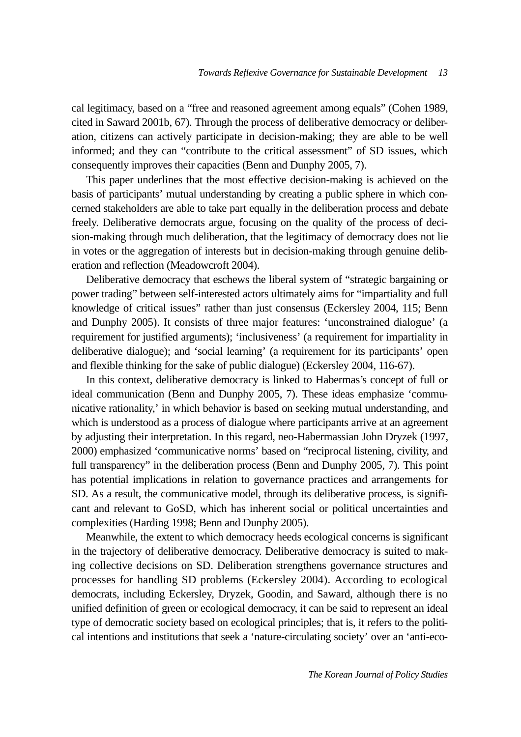cal legitimacy, based on a "free and reasoned agreement among equals" (Cohen 1989, cited in Saward 2001b, 67). Through the process of deliberative democracy or deliberation, citizens can actively participate in decision-making; they are able to be well informed; and they can "contribute to the critical assessment" of SD issues, which consequently improves their capacities (Benn and Dunphy 2005, 7).

This paper underlines that the most effective decision-making is achieved on the basis of participants' mutual understanding by creating a public sphere in which concerned stakeholders are able to take part equally in the deliberation process and debate freely. Deliberative democrats argue, focusing on the quality of the process of decision-making through much deliberation, that the legitimacy of democracy does not lie in votes or the aggregation of interests but in decision-making through genuine deliberation and reflection (Meadowcroft 2004).

Deliberative democracy that eschews the liberal system of "strategic bargaining or power trading" between self-interested actors ultimately aims for "impartiality and full knowledge of critical issues" rather than just consensus (Eckersley 2004, 115; Benn and Dunphy 2005). It consists of three major features: 'unconstrained dialogue' (a requirement for justified arguments); 'inclusiveness' (a requirement for impartiality in deliberative dialogue); and 'social learning' (a requirement for its participants' open and flexible thinking for the sake of public dialogue) (Eckersley 2004, 116-67).

In this context, deliberative democracy is linked to Habermas's concept of full or ideal communication (Benn and Dunphy 2005, 7). These ideas emphasize 'communicative rationality,' in which behavior is based on seeking mutual understanding, and which is understood as a process of dialogue where participants arrive at an agreement by adjusting their interpretation. In this regard, neo-Habermassian John Dryzek (1997, 2000) emphasized 'communicative norms' based on "reciprocal listening, civility, and full transparency" in the deliberation process (Benn and Dunphy 2005, 7). This point has potential implications in relation to governance practices and arrangements for SD. As a result, the communicative model, through its deliberative process, is significant and relevant to GoSD, which has inherent social or political uncertainties and complexities (Harding 1998; Benn and Dunphy 2005).

Meanwhile, the extent to which democracy heeds ecological concerns is significant in the trajectory of deliberative democracy. Deliberative democracy is suited to making collective decisions on SD. Deliberation strengthens governance structures and processes for handling SD problems (Eckersley 2004). According to ecological democrats, including Eckersley, Dryzek, Goodin, and Saward, although there is no unified definition of green or ecological democracy, it can be said to represent an ideal type of democratic society based on ecological principles; that is, it refers to the political intentions and institutions that seek a 'nature-circulating society' over an 'anti-eco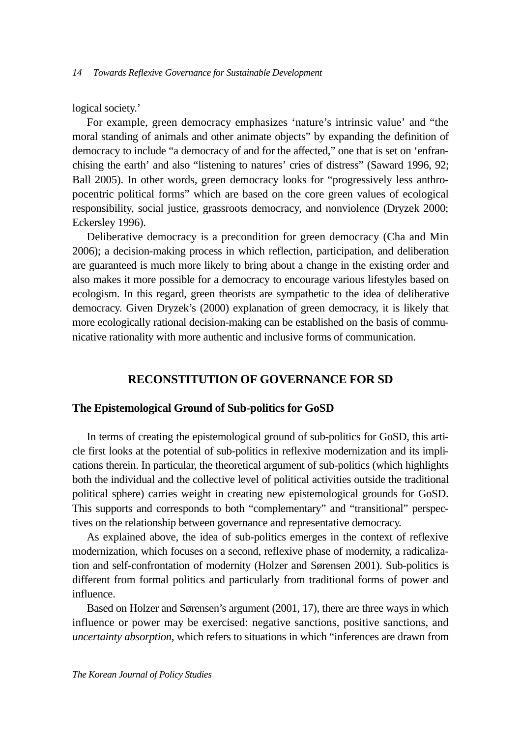logical society.'

For example, green democracy emphasizes 'nature's intrinsic value' and "the moral standing of animals and other animate objects" by expanding the definition of democracy to include "a democracy of and for the affected," one that is set on 'enfranchising the earth' and also "listening to natures' cries of distress" (Saward 1996, 92; Ball 2005). In other words, green democracy looks for "progressively less anthropocentric political forms" which are based on the core green values of ecological responsibility, social justice, grassroots democracy, and nonviolence (Dryzek 2000; Eckersley 1996).

Deliberative democracy is a precondition for green democracy (Cha and Min 2006); a decision-making process in which reflection, participation, and deliberation are guaranteed is much more likely to bring about a change in the existing order and also makes it more possible for a democracy to encourage various lifestyles based on ecologism. In this regard, green theorists are sympathetic to the idea of deliberative democracy. Given Dryzek's (2000) explanation of green democracy, it is likely that more ecologically rational decision-making can be established on the basis of communicative rationality with more authentic and inclusive forms of communication.

## **RECONSTITUTION OF GOVERNANCE FOR SD**

### **The Epistemological Ground of Sub-politics for GoSD**

In terms of creating the epistemological ground of sub-politics for GoSD, this article first looks at the potential of sub-politics in reflexive modernization and its implications therein. In particular, the theoretical argument of sub-politics (which highlights both the individual and the collective level of political activities outside the traditional political sphere) carries weight in creating new epistemological grounds for GoSD. This supports and corresponds to both "complementary" and "transitional" perspectives on the relationship between governance and representative democracy.

As explained above, the idea of sub-politics emerges in the context of reflexive modernization, which focuses on a second, reflexive phase of modernity, a radicalization and self-confrontation of modernity (Holzer and Sørensen 2001). Sub-politics is different from formal politics and particularly from traditional forms of power and influence.

Based on Holzer and Sørensen's argument (2001, 17), there are three ways in which influence or power may be exercised: negative sanctions, positive sanctions, and *uncertainty absorption*, which refers to situations in which "inferences are drawn from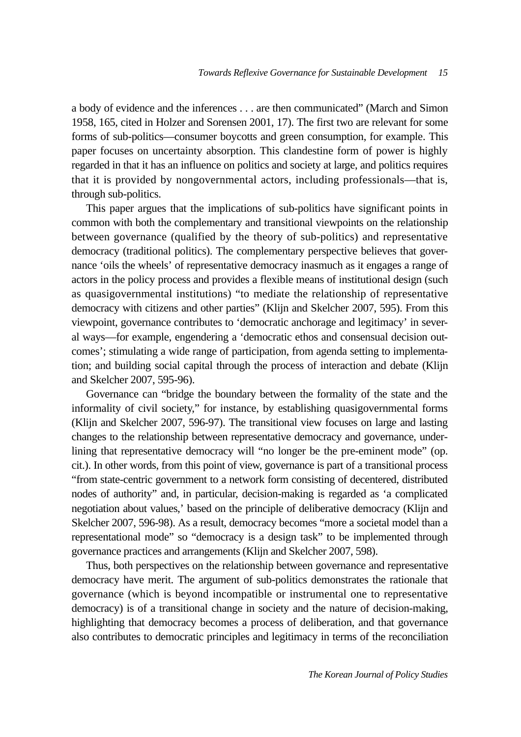a body of evidence and the inferences . . . are then communicated" (March and Simon 1958, 165, cited in Holzer and Sorensen 2001, 17). The first two are relevant for some forms of sub-politics—consumer boycotts and green consumption, for example. This paper focuses on uncertainty absorption. This clandestine form of power is highly regarded in that it has an influence on politics and society at large, and politics requires that it is provided by nongovernmental actors, including professionals—that is, through sub-politics.

This paper argues that the implications of sub-politics have significant points in common with both the complementary and transitional viewpoints on the relationship between governance (qualified by the theory of sub-politics) and representative democracy (traditional politics). The complementary perspective believes that governance 'oils the wheels' of representative democracy inasmuch as it engages a range of actors in the policy process and provides a flexible means of institutional design (such as quasigovernmental institutions) "to mediate the relationship of representative democracy with citizens and other parties" (Klijn and Skelcher 2007, 595). From this viewpoint, governance contributes to 'democratic anchorage and legitimacy' in several ways—for example, engendering a 'democratic ethos and consensual decision outcomes'; stimulating a wide range of participation, from agenda setting to implementation; and building social capital through the process of interaction and debate (Klijn and Skelcher 2007, 595-96).

Governance can "bridge the boundary between the formality of the state and the informality of civil society," for instance, by establishing quasigovernmental forms (Klijn and Skelcher 2007, 596-97). The transitional view focuses on large and lasting changes to the relationship between representative democracy and governance, underlining that representative democracy will "no longer be the pre-eminent mode" (op. cit.). In other words, from this point of view, governance is part of a transitional process "from state-centric government to a network form consisting of decentered, distributed nodes of authority" and, in particular, decision-making is regarded as 'a complicated negotiation about values,' based on the principle of deliberative democracy (Klijn and Skelcher 2007, 596-98). As a result, democracy becomes "more a societal model than a representational mode" so "democracy is a design task" to be implemented through governance practices and arrangements (Klijn and Skelcher 2007, 598).

Thus, both perspectives on the relationship between governance and representative democracy have merit. The argument of sub-politics demonstrates the rationale that governance (which is beyond incompatible or instrumental one to representative democracy) is of a transitional change in society and the nature of decision-making, highlighting that democracy becomes a process of deliberation, and that governance also contributes to democratic principles and legitimacy in terms of the reconciliation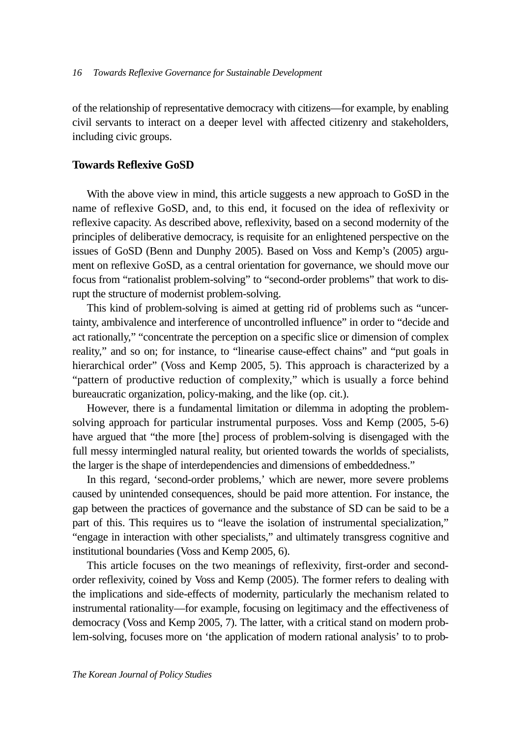of the relationship of representative democracy with citizens—for example, by enabling civil servants to interact on a deeper level with affected citizenry and stakeholders, including civic groups.

### **Towards Reflexive GoSD**

With the above view in mind, this article suggests a new approach to GoSD in the name of reflexive GoSD, and, to this end, it focused on the idea of reflexivity or reflexive capacity. As described above, reflexivity, based on a second modernity of the principles of deliberative democracy, is requisite for an enlightened perspective on the issues of GoSD (Benn and Dunphy 2005). Based on Voss and Kemp's (2005) argument on reflexive GoSD, as a central orientation for governance, we should move our focus from "rationalist problem-solving" to "second-order problems" that work to disrupt the structure of modernist problem-solving.

This kind of problem-solving is aimed at getting rid of problems such as "uncertainty, ambivalence and interference of uncontrolled influence" in order to "decide and act rationally," "concentrate the perception on a specific slice or dimension of complex reality," and so on; for instance, to "linearise cause-effect chains" and "put goals in hierarchical order" (Voss and Kemp 2005, 5). This approach is characterized by a "pattern of productive reduction of complexity," which is usually a force behind bureaucratic organization, policy-making, and the like (op. cit.).

However, there is a fundamental limitation or dilemma in adopting the problemsolving approach for particular instrumental purposes. Voss and Kemp (2005, 5-6) have argued that "the more [the] process of problem-solving is disengaged with the full messy intermingled natural reality, but oriented towards the worlds of specialists, the larger is the shape of interdependencies and dimensions of embeddedness."

In this regard, 'second-order problems,' which are newer, more severe problems caused by unintended consequences, should be paid more attention. For instance, the gap between the practices of governance and the substance of SD can be said to be a part of this. This requires us to "leave the isolation of instrumental specialization," "engage in interaction with other specialists," and ultimately transgress cognitive and institutional boundaries (Voss and Kemp 2005, 6).

This article focuses on the two meanings of reflexivity, first-order and secondorder reflexivity, coined by Voss and Kemp (2005). The former refers to dealing with the implications and side-effects of modernity, particularly the mechanism related to instrumental rationality—for example, focusing on legitimacy and the effectiveness of democracy (Voss and Kemp 2005, 7). The latter, with a critical stand on modern problem-solving, focuses more on 'the application of modern rational analysis' to to prob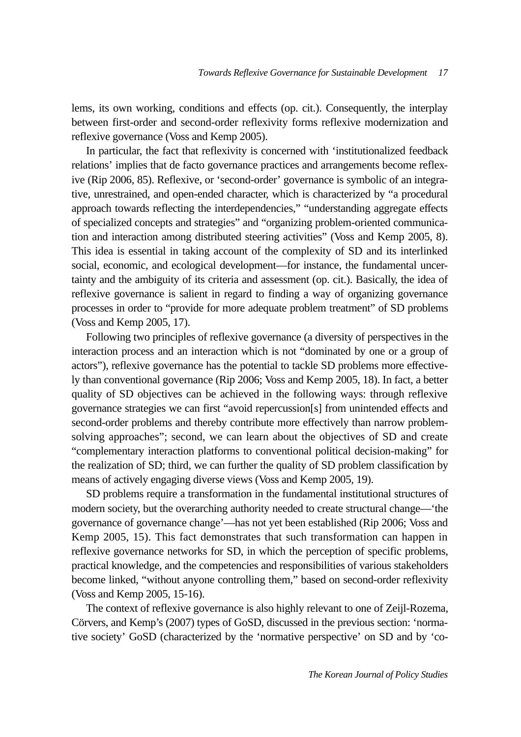lems, its own working, conditions and effects (op. cit.). Consequently, the interplay between first-order and second-order reflexivity forms reflexive modernization and reflexive governance (Voss and Kemp 2005).

In particular, the fact that reflexivity is concerned with 'institutionalized feedback relations' implies that de facto governance practices and arrangements become reflexive (Rip 2006, 85). Reflexive, or 'second-order' governance is symbolic of an integrative, unrestrained, and open-ended character, which is characterized by "a procedural approach towards reflecting the interdependencies," "understanding aggregate effects of specialized concepts and strategies" and "organizing problem-oriented communication and interaction among distributed steering activities" (Voss and Kemp 2005, 8). This idea is essential in taking account of the complexity of SD and its interlinked social, economic, and ecological development—for instance, the fundamental uncertainty and the ambiguity of its criteria and assessment (op. cit.). Basically, the idea of reflexive governance is salient in regard to finding a way of organizing governance processes in order to "provide for more adequate problem treatment" of SD problems (Voss and Kemp 2005, 17).

Following two principles of reflexive governance (a diversity of perspectives in the interaction process and an interaction which is not "dominated by one or a group of actors"), reflexive governance has the potential to tackle SD problems more effectively than conventional governance (Rip 2006; Voss and Kemp 2005, 18). In fact, a better quality of SD objectives can be achieved in the following ways: through reflexive governance strategies we can first "avoid repercussion[s] from unintended effects and second-order problems and thereby contribute more effectively than narrow problemsolving approaches"; second, we can learn about the objectives of SD and create "complementary interaction platforms to conventional political decision-making" for the realization of SD; third, we can further the quality of SD problem classification by means of actively engaging diverse views (Voss and Kemp 2005, 19).

SD problems require a transformation in the fundamental institutional structures of modern society, but the overarching authority needed to create structural change—'the governance of governance change'—has not yet been established (Rip 2006; Voss and Kemp 2005, 15). This fact demonstrates that such transformation can happen in reflexive governance networks for SD, in which the perception of specific problems, practical knowledge, and the competencies and responsibilities of various stakeholders become linked, "without anyone controlling them," based on second-order reflexivity (Voss and Kemp 2005, 15-16).

The context of reflexive governance is also highly relevant to one of Zeijl-Rozema, Cörvers, and Kemp's (2007) types of GoSD, discussed in the previous section: 'normative society' GoSD (characterized by the 'normative perspective' on SD and by 'co-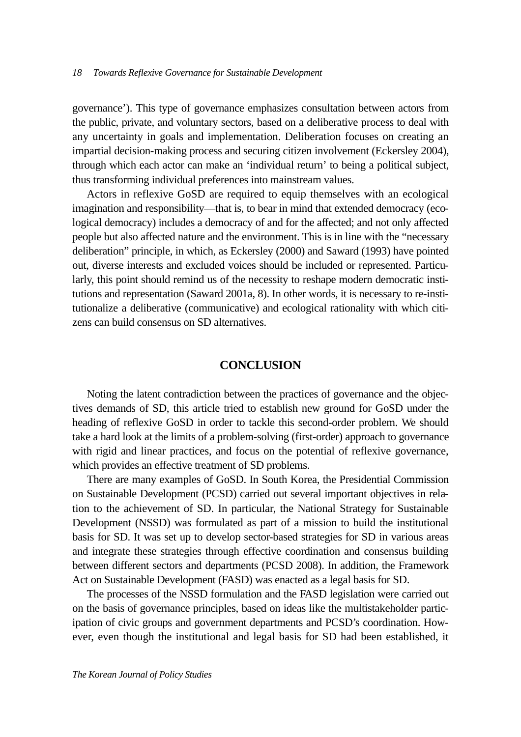governance'). This type of governance emphasizes consultation between actors from the public, private, and voluntary sectors, based on a deliberative process to deal with any uncertainty in goals and implementation. Deliberation focuses on creating an impartial decision-making process and securing citizen involvement (Eckersley 2004), through which each actor can make an 'individual return' to being a political subject, thus transforming individual preferences into mainstream values.

Actors in reflexive GoSD are required to equip themselves with an ecological imagination and responsibility—that is, to bear in mind that extended democracy (ecological democracy) includes a democracy of and for the affected; and not only affected people but also affected nature and the environment. This is in line with the "necessary deliberation" principle, in which, as Eckersley (2000) and Saward (1993) have pointed out, diverse interests and excluded voices should be included or represented. Particularly, this point should remind us of the necessity to reshape modern democratic institutions and representation (Saward 2001a, 8). In other words, it is necessary to re-institutionalize a deliberative (communicative) and ecological rationality with which citizens can build consensus on SD alternatives.

#### **CONCLUSION**

Noting the latent contradiction between the practices of governance and the objectives demands of SD, this article tried to establish new ground for GoSD under the heading of reflexive GoSD in order to tackle this second-order problem. We should take a hard look at the limits of a problem-solving (first-order) approach to governance with rigid and linear practices, and focus on the potential of reflexive governance, which provides an effective treatment of SD problems.

There are many examples of GoSD. In South Korea, the Presidential Commission on Sustainable Development (PCSD) carried out several important objectives in relation to the achievement of SD. In particular, the National Strategy for Sustainable Development (NSSD) was formulated as part of a mission to build the institutional basis for SD. It was set up to develop sector-based strategies for SD in various areas and integrate these strategies through effective coordination and consensus building between different sectors and departments (PCSD 2008). In addition, the Framework Act on Sustainable Development (FASD) was enacted as a legal basis for SD.

The processes of the NSSD formulation and the FASD legislation were carried out on the basis of governance principles, based on ideas like the multistakeholder participation of civic groups and government departments and PCSD's coordination. However, even though the institutional and legal basis for SD had been established, it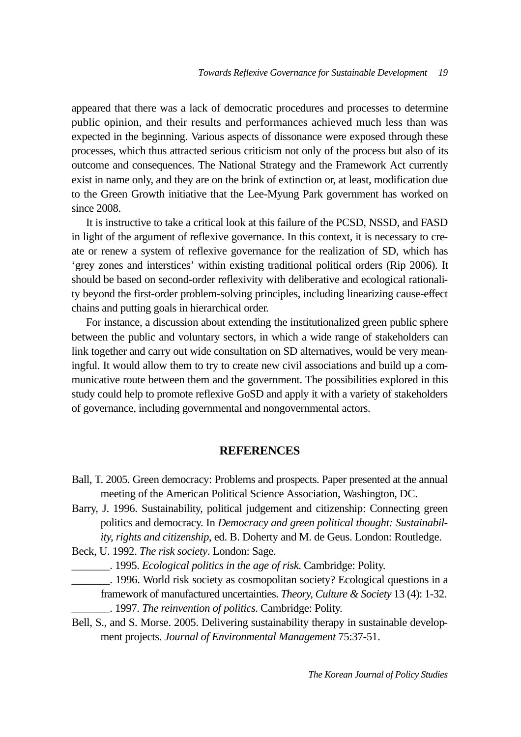appeared that there was a lack of democratic procedures and processes to determine public opinion, and their results and performances achieved much less than was expected in the beginning. Various aspects of dissonance were exposed through these processes, which thus attracted serious criticism not only of the process but also of its outcome and consequences. The National Strategy and the Framework Act currently exist in name only, and they are on the brink of extinction or, at least, modification due to the Green Growth initiative that the Lee-Myung Park government has worked on since 2008.

It is instructive to take a critical look at this failure of the PCSD, NSSD, and FASD in light of the argument of reflexive governance. In this context, it is necessary to create or renew a system of reflexive governance for the realization of SD, which has 'grey zones and interstices' within existing traditional political orders (Rip 2006). It should be based on second-order reflexivity with deliberative and ecological rationality beyond the first-order problem-solving principles, including linearizing cause-effect chains and putting goals in hierarchical order.

For instance, a discussion about extending the institutionalized green public sphere between the public and voluntary sectors, in which a wide range of stakeholders can link together and carry out wide consultation on SD alternatives, would be very meaningful. It would allow them to try to create new civil associations and build up a communicative route between them and the government. The possibilities explored in this study could help to promote reflexive GoSD and apply it with a variety of stakeholders of governance, including governmental and nongovernmental actors.

## **REFERENCES**

- Ball, T. 2005. Green democracy: Problems and prospects. Paper presented at the annual meeting of the American Political Science Association, Washington, DC.
- Barry, J. 1996. Sustainability, political judgement and citizenship: Connecting green politics and democracy. In *Democracy and green political thought: Sustainability, rights and citizenship*, ed. B. Doherty and M. de Geus. London: Routledge.

Beck, U. 1992. *The risk society*. London: Sage.

\_\_\_\_\_\_\_. 1995. *Ecological politics in the age of risk*. Cambridge: Polity.

- \_\_\_\_\_\_\_. 1996. World risk society as cosmopolitan society? Ecological questions in a framework of manufactured uncertainties. *Theory, Culture & Society* 13 (4): 1-32. \_\_\_\_\_\_\_. 1997. *The reinvention of politics*. Cambridge: Polity.
- Bell, S., and S. Morse. 2005. Delivering sustainability therapy in sustainable development projects. *Journal of Environmental Management* 75:37-51.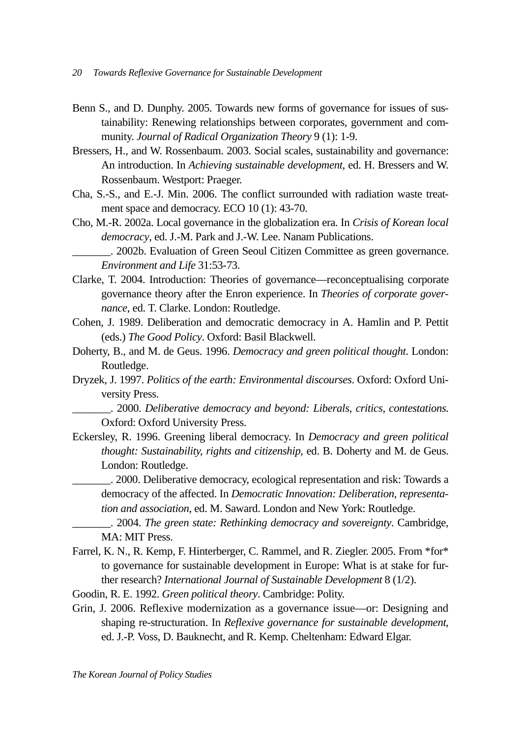- Benn S., and D. Dunphy. 2005. Towards new forms of governance for issues of sustainability: Renewing relationships between corporates, government and community. *Journal of Radical Organization Theory* 9 (1): 1-9.
- Bressers, H., and W. Rossenbaum. 2003. Social scales, sustainability and governance: An introduction. In *Achieving sustainable development*, ed. H. Bressers and W. Rossenbaum. Westport: Praeger.
- Cha, S.-S., and E.-J. Min. 2006. The conflict surrounded with radiation waste treatment space and democracy. ECO 10 (1): 43-70.
- Cho, M.-R. 2002a. Local governance in the globalization era. In *Crisis of Korean local democracy*, ed. J.-M. Park and J.-W. Lee. Nanam Publications.

\_\_\_\_\_\_\_. 2002b. Evaluation of Green Seoul Citizen Committee as green governance. *Environment and Life* 31:53-73.

- Clarke, T. 2004. Introduction: Theories of governance—reconceptualising corporate governance theory after the Enron experience. In *Theories of corporate governance*, ed. T. Clarke. London: Routledge.
- Cohen, J. 1989. Deliberation and democratic democracy in A. Hamlin and P. Pettit (eds.) *The Good Policy*. Oxford: Basil Blackwell.
- Doherty, B., and M. de Geus. 1996. *Democracy and green political thought*. London: Routledge.
- Dryzek, J. 1997. *Politics of the earth: Environmental discourses*. Oxford: Oxford University Press.

\_\_\_\_\_\_\_. 2000. *Deliberative democracy and beyond: Liberals, critics, contestations*. Oxford: Oxford University Press.

Eckersley, R. 1996. Greening liberal democracy. In *Democracy and green political thought: Sustainability, rights and citizenship*, ed. B. Doherty and M. de Geus. London: Routledge.

\_\_\_\_\_\_\_. 2000. Deliberative democracy, ecological representation and risk: Towards a democracy of the affected. In *Democratic Innovation: Deliberation, representation and association*, ed. M. Saward. London and New York: Routledge.

\_\_\_\_\_\_\_. 2004. *The green state: Rethinking democracy and sovereignty*. Cambridge, MA: MIT Press.

- Farrel, K. N., R. Kemp, F. Hinterberger, C. Rammel, and R. Ziegler. 2005. From \*for\* to governance for sustainable development in Europe: What is at stake for further research? *International Journal of Sustainable Development* 8 (1/2).
- Goodin, R. E. 1992. *Green political theory*. Cambridge: Polity.
- Grin, J. 2006. Reflexive modernization as a governance issue—or: Designing and shaping re-structuration. In *Reflexive governance for sustainable development*, ed. J.-P. Voss, D. Bauknecht, and R. Kemp. Cheltenham: Edward Elgar.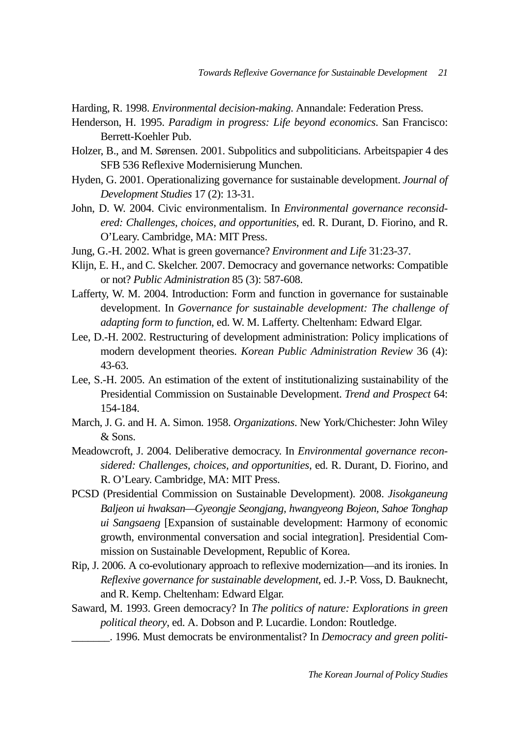Harding, R. 1998. *Environmental decision-making*. Annandale: Federation Press.

- Henderson, H. 1995. *Paradigm in progress: Life beyond economics*. San Francisco: Berrett-Koehler Pub.
- Holzer, B., and M. Sørensen. 2001. Subpolitics and subpoliticians. Arbeitspapier 4 des SFB 536 Reflexive Modernisierung Munchen.
- Hyden, G. 2001. Operationalizing governance for sustainable development. *Journal of Development Studies* 17 (2): 13-31.
- John, D. W. 2004. Civic environmentalism. In *Environmental governance reconsidered: Challenges, choices, and opportunities*, ed. R. Durant, D. Fiorino, and R. O'Leary. Cambridge, MA: MIT Press.
- Jung, G.-H. 2002. What is green governance? *Environment and Life* 31:23-37.
- Klijn, E. H., and C. Skelcher. 2007. Democracy and governance networks: Compatible or not? *Public Administration* 85 (3): 587-608.
- Lafferty, W. M. 2004. Introduction: Form and function in governance for sustainable development. In *Governance for sustainable development: The challenge of adapting form to function*, ed. W. M. Lafferty. Cheltenham: Edward Elgar.
- Lee, D.-H. 2002. Restructuring of development administration: Policy implications of modern development theories. *Korean Public Administration Review* 36 (4): 43-63.
- Lee, S.-H. 2005. An estimation of the extent of institutionalizing sustainability of the Presidential Commission on Sustainable Development. *Trend and Prospect* 64: 154-184.
- March, J. G. and H. A. Simon. 1958. *Organizations*. New York/Chichester: John Wiley & Sons.
- Meadowcroft, J. 2004. Deliberative democracy. In *Environmental governance reconsidered: Challenges, choices, and opportunities*, ed. R. Durant, D. Fiorino, and R. O'Leary. Cambridge, MA: MIT Press.
- PCSD (Presidential Commission on Sustainable Development). 2008. *Jisokganeung Baljeon ui hwaksan—Gyeongje Seongjang, hwangyeong Bojeon, Sahoe Tonghap ui Sangsaeng* [Expansion of sustainable development: Harmony of economic growth, environmental conversation and social integration]. Presidential Commission on Sustainable Development, Republic of Korea.
- Rip, J. 2006. A co-evolutionary approach to reflexive modernization—and its ironies. In *Reflexive governance for sustainable development*, ed. J.-P. Voss, D. Bauknecht, and R. Kemp. Cheltenham: Edward Elgar.
- Saward, M. 1993. Green democracy? In *The politics of nature: Explorations in green political theory*, ed. A. Dobson and P. Lucardie. London: Routledge.
	- \_\_\_\_\_\_\_. 1996. Must democrats be environmentalist? In *Democracy and green politi-*